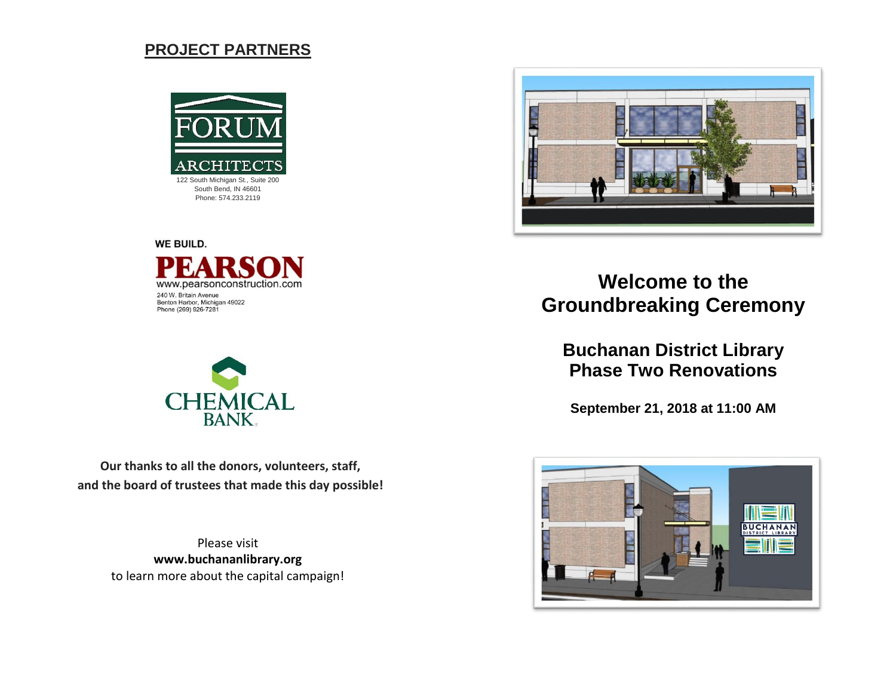## **PROJECT PARTNERS**



Phone: 574.233.2119





**Our thanks to all the donors, volunteers, staff, and the board of trustees that made this day possible!**

> Please visit **www.buchananlibrary.org** to learn more about the capital campaign!



# **Welcome to the Groundbreaking Ceremony**

**Buchanan District Library Phase Two Renovations**

**September 21, 2018 at 11:00 AM**